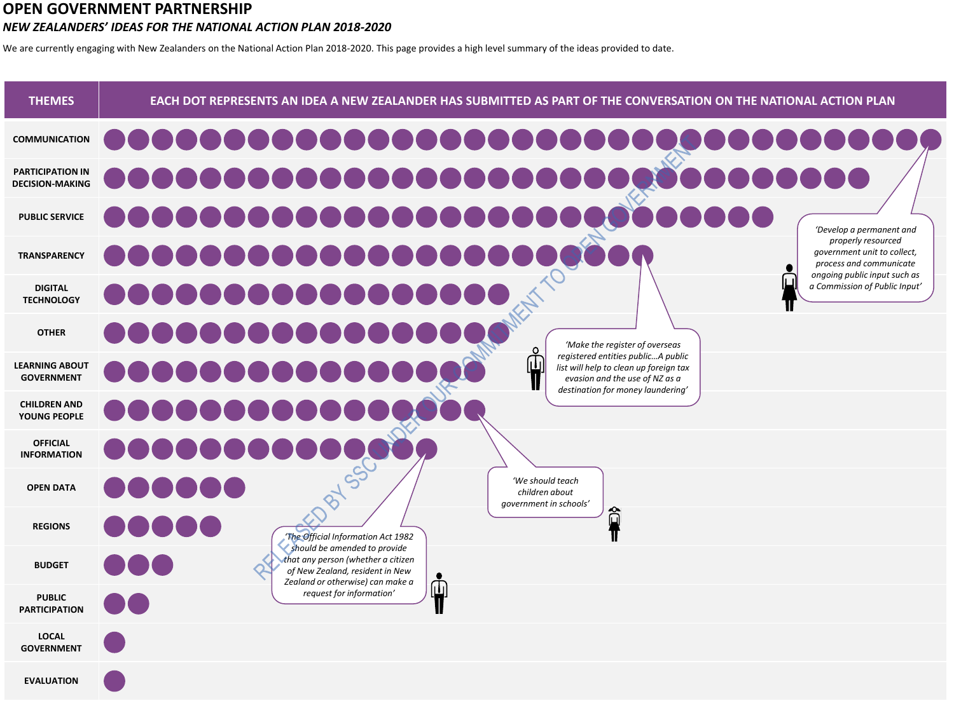## **OPEN GOVERNMENT PARTNERSHIP** *NEW ZEALANDERS' IDEAS FOR THE NATIONAL ACTION PLAN 2018-2020*

We are currently engaging with New Zealanders on the National Action Plan 2018-2020. This page provides a high level summary of the ideas provided to date.